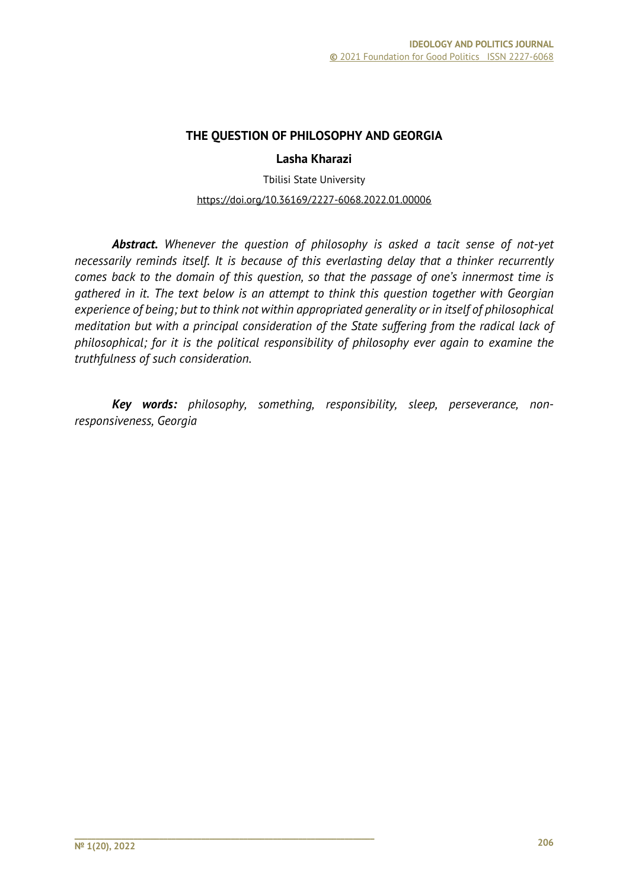### **THE QUESTION OF PHILOSOPHY AND GEORGIA**

#### **Lasha Kharazi**

Tbilisi State University https://doi.org/10.36169/2227-6068.2022.01.00006

*Abstract. Whenever the question of philosophy is asked a tacit sense of not-yet necessarily reminds itself. It is because of this everlasting delay that a thinker recurrently comes back to the domain of this question, so that the passage of one's innermost time is gathered in it. The text below is an attempt to think this question together with Georgian experience of being; but to think not within appropriated generality or in itself of philosophical meditation but with a principal consideration of the State suffering from the radical lack of philosophical; for it is the political responsibility of philosophy ever again to examine the truthfulness of such consideration.* 

*Key words: philosophy, something, responsibility, sleep, perseverance, nonresponsiveness, Georgia*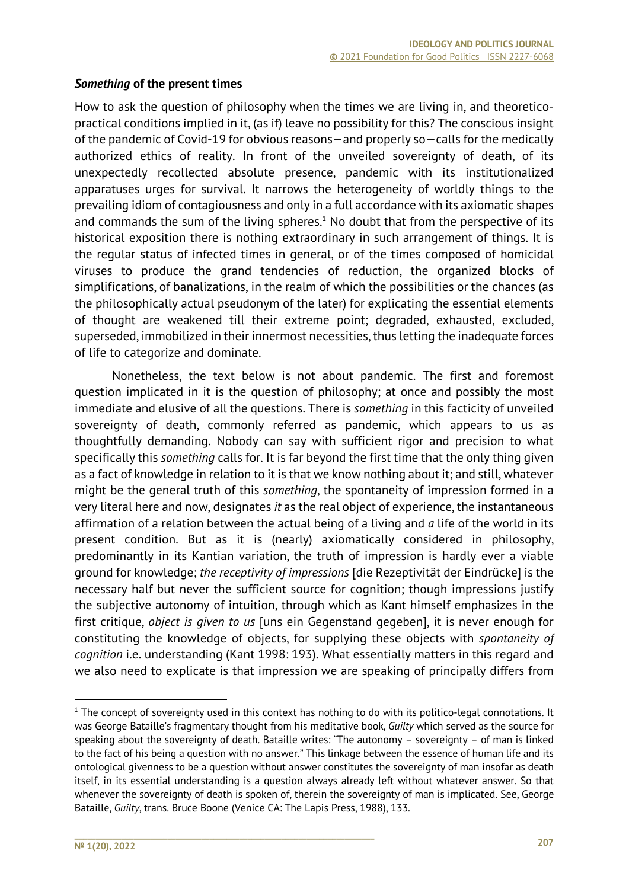## *Something* **of the present times**

How to ask the question of philosophy when the times we are living in, and theoreticopractical conditions implied in it, (as if) leave no possibility for this? The conscious insight of the pandemic of Covid-19 for obvious reasons—and properly so—calls for the medically authorized ethics of reality. In front of the unveiled sovereignty of death, of its unexpectedly recollected absolute presence, pandemic with its institutionalized apparatuses urges for survival. It narrows the heterogeneity of worldly things to the prevailing idiom of contagiousness and only in a full accordance with its axiomatic shapes and commands the sum of the living spheres.<sup>1</sup> No doubt that from the perspective of its historical exposition there is nothing extraordinary in such arrangement of things. It is the regular status of infected times in general, or of the times composed of homicidal viruses to produce the grand tendencies of reduction, the organized blocks of simplifications, of banalizations, in the realm of which the possibilities or the chances (as the philosophically actual pseudonym of the later) for explicating the essential elements of thought are weakened till their extreme point; degraded, exhausted, excluded, superseded, immobilized in their innermost necessities, thus letting the inadequate forces of life to categorize and dominate.

Nonetheless, the text below is not about pandemic. The first and foremost question implicated in it is the question of philosophy; at once and possibly the most immediate and elusive of all the questions. There is *something* in this facticity of unveiled sovereignty of death, commonly referred as pandemic, which appears to us as thoughtfully demanding. Nobody can say with sufficient rigor and precision to what specifically this *something* calls for. It is far beyond the first time that the only thing given as a fact of knowledge in relation to it is that we know nothing about it; and still, whatever might be the general truth of this *something*, the spontaneity of impression formed in a very literal here and now, designates *it* as the real object of experience, the instantaneous affirmation of a relation between the actual being of a living and *a* life of the world in its present condition. But as it is (nearly) axiomatically considered in philosophy, predominantly in its Kantian variation, the truth of impression is hardly ever a viable ground for knowledge; *the receptivity of impressions* [die Rezeptivität der Eindrücke] is the necessary half but never the sufficient source for cognition; though impressions justify the subjective autonomy of intuition, through which as Kant himself emphasizes in the first critique, *object is given to us* [uns ein Gegenstand gegeben], it is never enough for constituting the knowledge of objects, for supplying these objects with *spontaneity of cognition* i.e. understanding (Kant 1998: 193). What essentially matters in this regard and we also need to explicate is that impression we are speaking of principally differs from

 $1$  The concept of sovereignty used in this context has nothing to do with its politico-legal connotations. It was George Bataille's fragmentary thought from his meditative book, *Guilty* which served as the source for speaking about the sovereignty of death. Bataille writes: "The autonomy – sovereignty – of man is linked to the fact of his being a question with no answer." This linkage between the essence of human life and its ontological givenness to be a question without answer constitutes the sovereignty of man insofar as death itself, in its essential understanding is a question always already left without whatever answer. So that whenever the sovereignty of death is spoken of, therein the sovereignty of man is implicated. See, George Bataille, *Guilty*, trans. Bruce Boone (Venice CA: The Lapis Press, 1988), 133.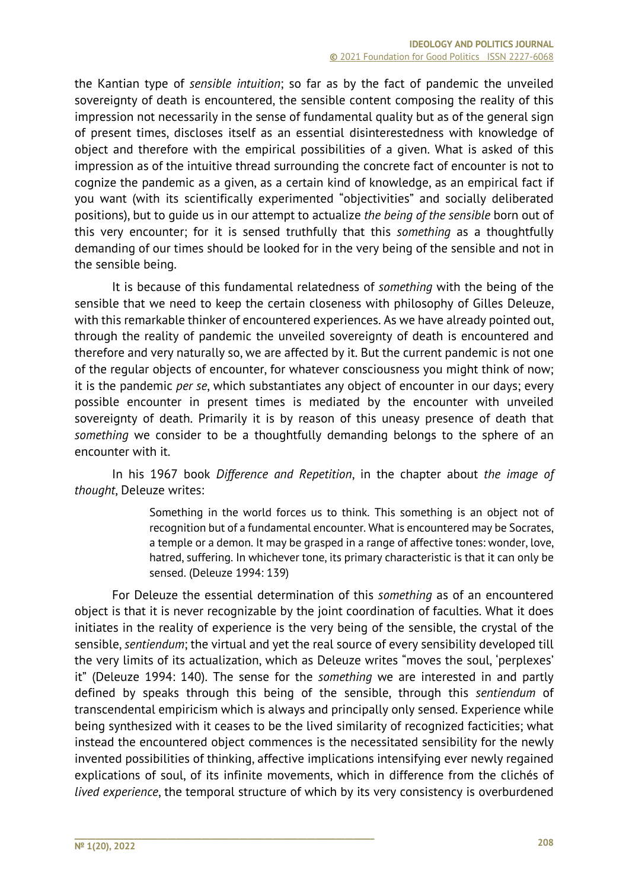the Kantian type of *sensible intuition*; so far as by the fact of pandemic the unveiled sovereignty of death is encountered, the sensible content composing the reality of this impression not necessarily in the sense of fundamental quality but as of the general sign of present times, discloses itself as an essential disinterestedness with knowledge of object and therefore with the empirical possibilities of a given. What is asked of this impression as of the intuitive thread surrounding the concrete fact of encounter is not to cognize the pandemic as a given, as a certain kind of knowledge, as an empirical fact if you want (with its scientifically experimented "objectivities" and socially deliberated positions), but to guide us in our attempt to actualize *the being of the sensible* born out of this very encounter; for it is sensed truthfully that this *something* as a thoughtfully demanding of our times should be looked for in the very being of the sensible and not in the sensible being.

It is because of this fundamental relatedness of *something* with the being of the sensible that we need to keep the certain closeness with philosophy of Gilles Deleuze, with this remarkable thinker of encountered experiences. As we have already pointed out, through the reality of pandemic the unveiled sovereignty of death is encountered and therefore and very naturally so, we are affected by it. But the current pandemic is not one of the regular objects of encounter, for whatever consciousness you might think of now; it is the pandemic *per se*, which substantiates any object of encounter in our days; every possible encounter in present times is mediated by the encounter with unveiled sovereignty of death. Primarily it is by reason of this uneasy presence of death that *something* we consider to be a thoughtfully demanding belongs to the sphere of an encounter with it.

In his 1967 book *Difference and Repetition*, in the chapter about *the image of thought*, Deleuze writes:

> Something in the world forces us to think. This something is an object not of recognition but of a fundamental encounter. What is encountered may be Socrates, a temple or a demon. It may be grasped in a range of affective tones: wonder, love, hatred, suffering. In whichever tone, its primary characteristic is that it can only be sensed. (Deleuze 1994: 139)

For Deleuze the essential determination of this *something* as of an encountered object is that it is never recognizable by the joint coordination of faculties. What it does initiates in the reality of experience is the very being of the sensible, the crystal of the sensible, *sentiendum*; the virtual and yet the real source of every sensibility developed till the very limits of its actualization, which as Deleuze writes "moves the soul, 'perplexes' it" (Deleuze 1994: 140). The sense for the *something* we are interested in and partly defined by speaks through this being of the sensible, through this *sentiendum* of transcendental empiricism which is always and principally only sensed. Experience while being synthesized with it ceases to be the lived similarity of recognized facticities; what instead the encountered object commences is the necessitated sensibility for the newly invented possibilities of thinking, affective implications intensifying ever newly regained explications of soul, of its infinite movements, which in difference from the clichés of *lived experience*, the temporal structure of which by its very consistency is overburdened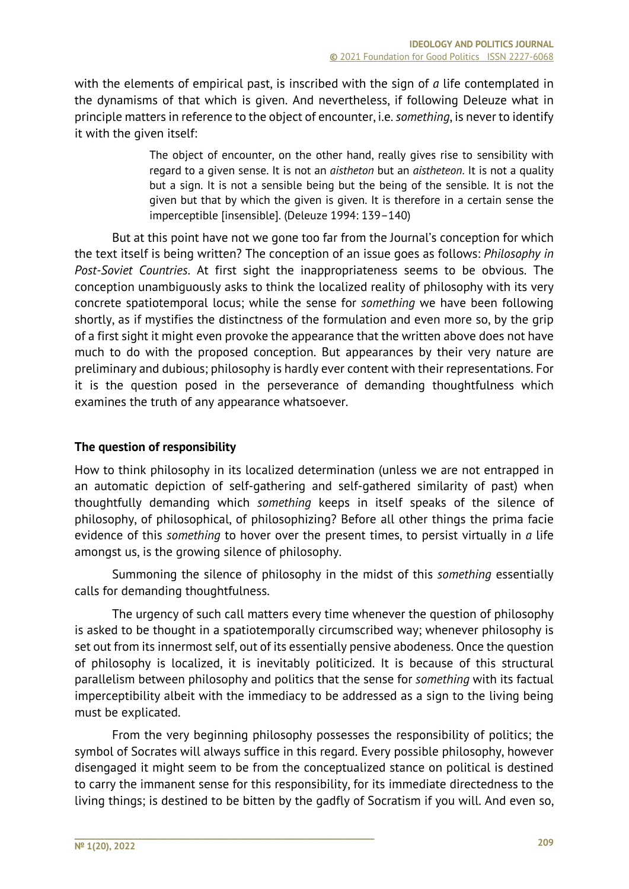with the elements of empirical past, is inscribed with the sign of *a* life contemplated in the dynamisms of that which is given. And nevertheless, if following Deleuze what in principle matters in reference to the object of encounter, i.e. *something*, is never to identify it with the given itself:

> The object of encounter, on the other hand, really gives rise to sensibility with regard to a given sense. It is not an *aistheton* but an *aistheteon*. It is not a quality but a sign. It is not a sensible being but the being of the sensible. It is not the given but that by which the given is given. It is therefore in a certain sense the imperceptible [insensible]. (Deleuze 1994: 139–140)

But at this point have not we gone too far from the Journal's conception for which the text itself is being written? The conception of an issue goes as follows: *Philosophy in Post-Soviet Countries*. At first sight the inappropriateness seems to be obvious. The conception unambiguously asks to think the localized reality of philosophy with its very concrete spatiotemporal locus; while the sense for *something* we have been following shortly, as if mystifies the distinctness of the formulation and even more so, by the grip of a first sight it might even provoke the appearance that the written above does not have much to do with the proposed conception. But appearances by their very nature are preliminary and dubious; philosophy is hardly ever content with their representations. For it is the question posed in the perseverance of demanding thoughtfulness which examines the truth of any appearance whatsoever.

# **The question of responsibility**

How to think philosophy in its localized determination (unless we are not entrapped in an automatic depiction of self-gathering and self-gathered similarity of past) when thoughtfully demanding which *something* keeps in itself speaks of the silence of philosophy, of philosophical, of philosophizing? Before all other things the prima facie evidence of this *something* to hover over the present times, to persist virtually in *a* life amongst us, is the growing silence of philosophy.

Summoning the silence of philosophy in the midst of this *something* essentially calls for demanding thoughtfulness.

The urgency of such call matters every time whenever the question of philosophy is asked to be thought in a spatiotemporally circumscribed way; whenever philosophy is set out from its innermost self, out of its essentially pensive abodeness. Once the question of philosophy is localized, it is inevitably politicized. It is because of this structural parallelism between philosophy and politics that the sense for *something* with its factual imperceptibility albeit with the immediacy to be addressed as a sign to the living being must be explicated.

From the very beginning philosophy possesses the responsibility of politics; the symbol of Socrates will always suffice in this regard. Every possible philosophy, however disengaged it might seem to be from the conceptualized stance on political is destined to carry the immanent sense for this responsibility, for its immediate directedness to the living things; is destined to be bitten by the gadfly of Socratism if you will. And even so,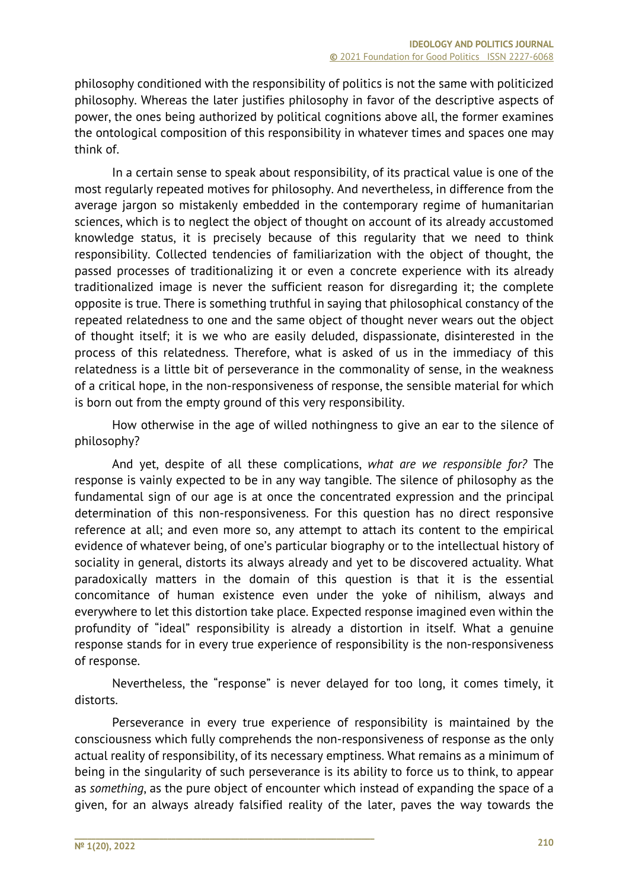philosophy conditioned with the responsibility of politics is not the same with politicized philosophy. Whereas the later justifies philosophy in favor of the descriptive aspects of power, the ones being authorized by political cognitions above all, the former examines the ontological composition of this responsibility in whatever times and spaces one may think of.

In a certain sense to speak about responsibility, of its practical value is one of the most regularly repeated motives for philosophy. And nevertheless, in difference from the average jargon so mistakenly embedded in the contemporary regime of humanitarian sciences, which is to neglect the object of thought on account of its already accustomed knowledge status, it is precisely because of this regularity that we need to think responsibility. Collected tendencies of familiarization with the object of thought, the passed processes of traditionalizing it or even a concrete experience with its already traditionalized image is never the sufficient reason for disregarding it; the complete opposite is true. There is something truthful in saying that philosophical constancy of the repeated relatedness to one and the same object of thought never wears out the object of thought itself; it is we who are easily deluded, dispassionate, disinterested in the process of this relatedness. Therefore, what is asked of us in the immediacy of this relatedness is a little bit of perseverance in the commonality of sense, in the weakness of a critical hope, in the non-responsiveness of response, the sensible material for which is born out from the empty ground of this very responsibility.

How otherwise in the age of willed nothingness to give an ear to the silence of philosophy?

And yet, despite of all these complications, *what are we responsible for?* The response is vainly expected to be in any way tangible. The silence of philosophy as the fundamental sign of our age is at once the concentrated expression and the principal determination of this non-responsiveness. For this question has no direct responsive reference at all; and even more so, any attempt to attach its content to the empirical evidence of whatever being, of one's particular biography or to the intellectual history of sociality in general, distorts its always already and yet to be discovered actuality. What paradoxically matters in the domain of this question is that it is the essential concomitance of human existence even under the yoke of nihilism, always and everywhere to let this distortion take place. Expected response imagined even within the profundity of "ideal" responsibility is already a distortion in itself. What a genuine response stands for in every true experience of responsibility is the non-responsiveness of response.

Nevertheless, the "response" is never delayed for too long, it comes timely, it distorts.

Perseverance in every true experience of responsibility is maintained by the consciousness which fully comprehends the non-responsiveness of response as the only actual reality of responsibility, of its necessary emptiness. What remains as a minimum of being in the singularity of such perseverance is its ability to force us to think, to appear as *something*, as the pure object of encounter which instead of expanding the space of a given, for an always already falsified reality of the later, paves the way towards the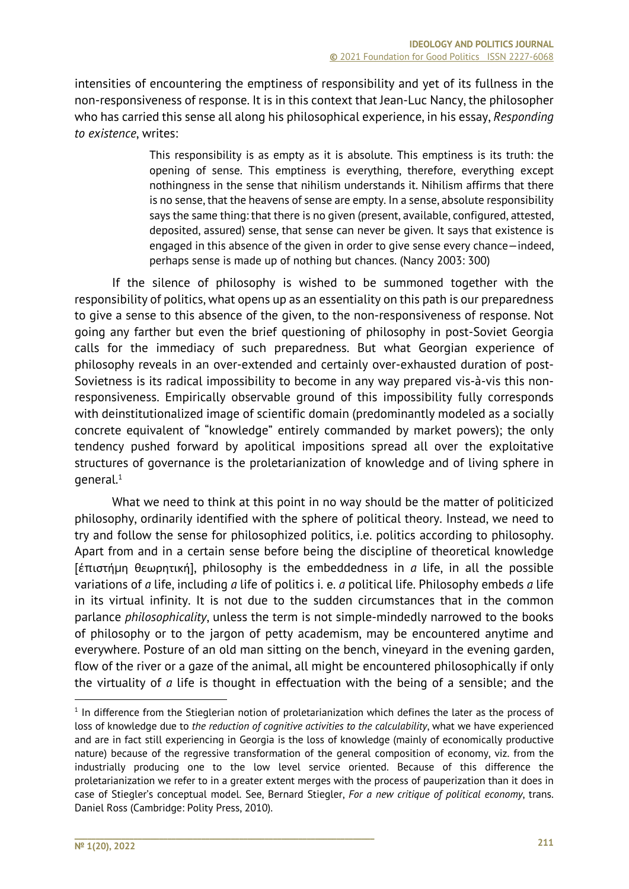intensities of encountering the emptiness of responsibility and yet of its fullness in the non-responsiveness of response. It is in this context that Jean-Luc Nancy, the philosopher who has carried this sense all along his philosophical experience, in his essay, *Responding to existence*, writes:

> This responsibility is as empty as it is absolute. This emptiness is its truth: the opening of sense. This emptiness is everything, therefore, everything except nothingness in the sense that nihilism understands it. Nihilism affirms that there is no sense, that the heavens of sense are empty. In a sense, absolute responsibility says the same thing: that there is no given (present, available, configured, attested, deposited, assured) sense, that sense can never be given. It says that existence is engaged in this absence of the given in order to give sense every chance—indeed, perhaps sense is made up of nothing but chances. (Nancy 2003: 300)

If the silence of philosophy is wished to be summoned together with the responsibility of politics, what opens up as an essentiality on this path is our preparedness to give a sense to this absence of the given, to the non-responsiveness of response. Not going any farther but even the brief questioning of philosophy in post-Soviet Georgia calls for the immediacy of such preparedness. But what Georgian experience of philosophy reveals in an over-extended and certainly over-exhausted duration of post-Sovietness is its radical impossibility to become in any way prepared vis-à-vis this nonresponsiveness. Empirically observable ground of this impossibility fully corresponds with deinstitutionalized image of scientific domain (predominantly modeled as a socially concrete equivalent of "knowledge" entirely commanded by market powers); the only tendency pushed forward by apolitical impositions spread all over the exploitative structures of governance is the proletarianization of knowledge and of living sphere in  $q$ eneral. $1$ 

What we need to think at this point in no way should be the matter of politicized philosophy, ordinarily identified with the sphere of political theory. Instead, we need to try and follow the sense for philosophized politics, i.e. politics according to philosophy. Apart from and in a certain sense before being the discipline of theoretical knowledge [έπιστήµη θεωρητική], philosophy is the embeddedness in *a* life, in all the possible variations of *a* life, including *a* life of politics i. e. *a* political life. Philosophy embeds *a* life in its virtual infinity. It is not due to the sudden circumstances that in the common parlance *philosophicality*, unless the term is not simple-mindedly narrowed to the books of philosophy or to the jargon of petty academism, may be encountered anytime and everywhere. Posture of an old man sitting on the bench, vineyard in the evening garden, flow of the river or a gaze of the animal, all might be encountered philosophically if only the virtuality of *a* life is thought in effectuation with the being of a sensible; and the

 $1$  In difference from the Stieglerian notion of proletarianization which defines the later as the process of loss of knowledge due to *the reduction of cognitive activities to the calculability*, what we have experienced and are in fact still experiencing in Georgia is the loss of knowledge (mainly of economically productive nature) because of the regressive transformation of the general composition of economy, viz. from the industrially producing one to the low level service oriented. Because of this difference the proletarianization we refer to in a greater extent merges with the process of pauperization than it does in case of Stiegler's conceptual model. See, Bernard Stiegler, *For a new critique of political economy*, trans. Daniel Ross (Cambridge: Polity Press, 2010).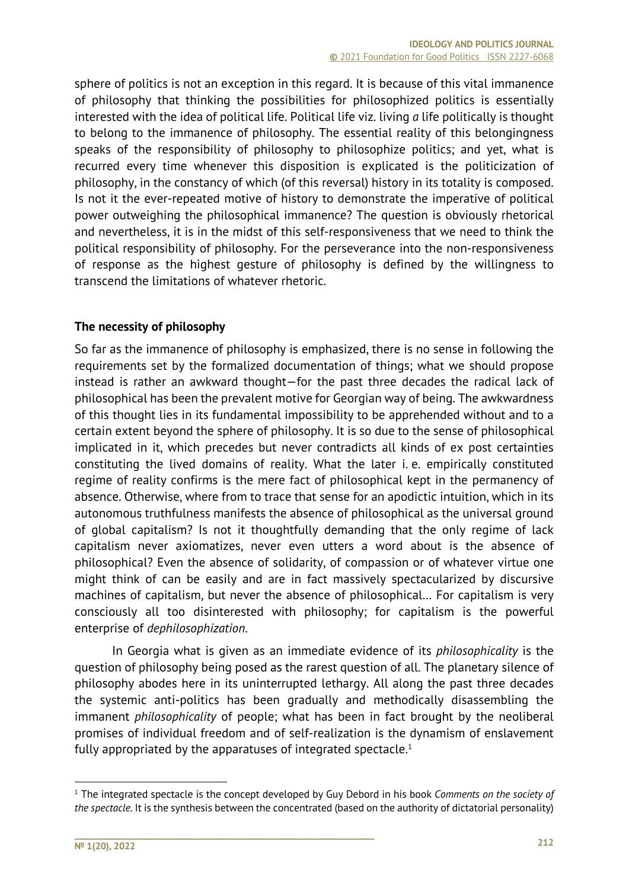sphere of politics is not an exception in this regard. It is because of this vital immanence of philosophy that thinking the possibilities for philosophized politics is essentially interested with the idea of political life. Political life viz. living *a* life politically is thought to belong to the immanence of philosophy. The essential reality of this belongingness speaks of the responsibility of philosophy to philosophize politics; and yet, what is recurred every time whenever this disposition is explicated is the politicization of philosophy, in the constancy of which (of this reversal) history in its totality is composed. Is not it the ever-repeated motive of history to demonstrate the imperative of political power outweighing the philosophical immanence? The question is obviously rhetorical and nevertheless, it is in the midst of this self-responsiveness that we need to think the political responsibility of philosophy. For the perseverance into the non-responsiveness of response as the highest gesture of philosophy is defined by the willingness to transcend the limitations of whatever rhetoric.

## **The necessity of philosophy**

So far as the immanence of philosophy is emphasized, there is no sense in following the requirements set by the formalized documentation of things; what we should propose instead is rather an awkward thought—for the past three decades the radical lack of philosophical has been the prevalent motive for Georgian way of being. The awkwardness of this thought lies in its fundamental impossibility to be apprehended without and to a certain extent beyond the sphere of philosophy. It is so due to the sense of philosophical implicated in it, which precedes but never contradicts all kinds of ex post certainties constituting the lived domains of reality. What the later i. e. empirically constituted regime of reality confirms is the mere fact of philosophical kept in the permanency of absence. Otherwise, where from to trace that sense for an apodictic intuition, which in its autonomous truthfulness manifests the absence of philosophical as the universal ground of global capitalism? Is not it thoughtfully demanding that the only regime of lack capitalism never axiomatizes, never even utters a word about is the absence of philosophical? Even the absence of solidarity, of compassion or of whatever virtue one might think of can be easily and are in fact massively spectacularized by discursive machines of capitalism, but never the absence of philosophical… For capitalism is very consciously all too disinterested with philosophy; for capitalism is the powerful enterprise of *dephilosophization*.

In Georgia what is given as an immediate evidence of its *philosophicality* is the question of philosophy being posed as the rarest question of all. The planetary silence of philosophy abodes here in its uninterrupted lethargy. All along the past three decades the systemic anti-politics has been gradually and methodically disassembling the immanent *philosophicality* of people; what has been in fact brought by the neoliberal promises of individual freedom and of self-realization is the dynamism of enslavement fully appropriated by the apparatuses of integrated spectacle.<sup>1</sup>

<sup>1</sup> The integrated spectacle is the concept developed by Guy Debord in his book *Comments on the society of the spectacle*. It is the synthesis between the concentrated (based on the authority of dictatorial personality)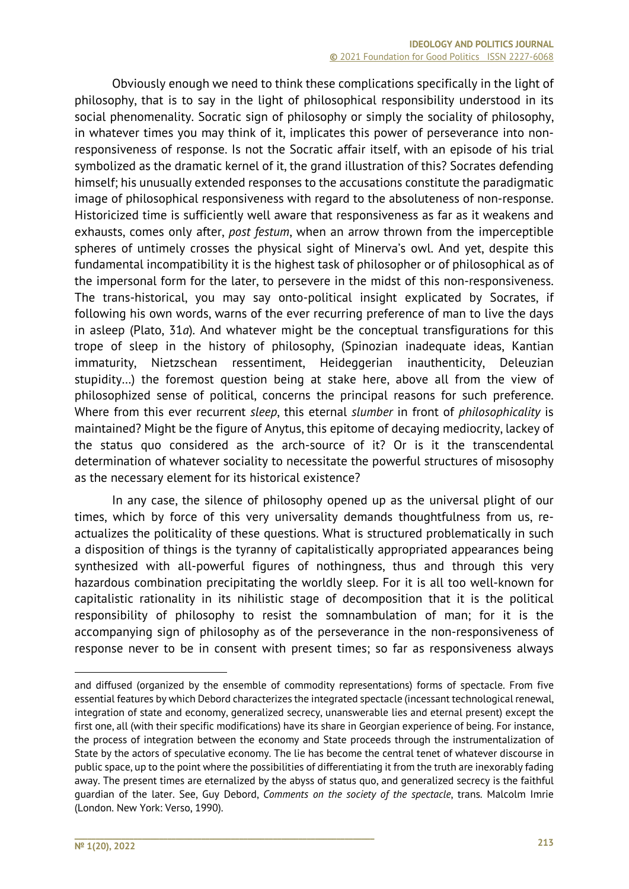Obviously enough we need to think these complications specifically in the light of philosophy, that is to say in the light of philosophical responsibility understood in its social phenomenality. Socratic sign of philosophy or simply the sociality of philosophy, in whatever times you may think of it, implicates this power of perseverance into nonresponsiveness of response. Is not the Socratic affair itself, with an episode of his trial symbolized as the dramatic kernel of it, the grand illustration of this? Socrates defending himself; his unusually extended responses to the accusations constitute the paradigmatic image of philosophical responsiveness with regard to the absoluteness of non-response. Historicized time is sufficiently well aware that responsiveness as far as it weakens and exhausts, comes only after, *post festum*, when an arrow thrown from the imperceptible spheres of untimely crosses the physical sight of Minerva's owl. And yet, despite this fundamental incompatibility it is the highest task of philosopher or of philosophical as of the impersonal form for the later, to persevere in the midst of this non-responsiveness. The trans-historical, you may say onto-political insight explicated by Socrates, if following his own words, warns of the ever recurring preference of man to live the days in asleep (Plato, 31*a*). And whatever might be the conceptual transfigurations for this trope of sleep in the history of philosophy, (Spinozian inadequate ideas, Kantian immaturity, Nietzschean ressentiment, Heideggerian inauthenticity, Deleuzian stupidity…) the foremost question being at stake here, above all from the view of philosophized sense of political, concerns the principal reasons for such preference. Where from this ever recurrent *sleep*, this eternal *slumber* in front of *philosophicality* is maintained? Might be the figure of Anytus, this epitome of decaying mediocrity, lackey of the status quo considered as the arch-source of it? Or is it the transcendental determination of whatever sociality to necessitate the powerful structures of misosophy as the necessary element for its historical existence?

In any case, the silence of philosophy opened up as the universal plight of our times, which by force of this very universality demands thoughtfulness from us, reactualizes the politicality of these questions. What is structured problematically in such a disposition of things is the tyranny of capitalistically appropriated appearances being synthesized with all-powerful figures of nothingness, thus and through this very hazardous combination precipitating the worldly sleep. For it is all too well-known for capitalistic rationality in its nihilistic stage of decomposition that it is the political responsibility of philosophy to resist the somnambulation of man; for it is the accompanying sign of philosophy as of the perseverance in the non-responsiveness of response never to be in consent with present times; so far as responsiveness always

and diffused (organized by the ensemble of commodity representations) forms of spectacle. From five essential features by which Debord characterizes the integrated spectacle (incessant technological renewal, integration of state and economy, generalized secrecy, unanswerable lies and eternal present) except the first one, all (with their specific modifications) have its share in Georgian experience of being. For instance, the process of integration between the economy and State proceeds through the instrumentalization of State by the actors of speculative economy. The lie has become the central tenet of whatever discourse in public space, up to the point where the possibilities of differentiating it from the truth are inexorably fading away. The present times are eternalized by the abyss of status quo, and generalized secrecy is the faithful guardian of the later. See, Guy Debord, *Comments on the society of the spectacle*, trans. Malcolm Imrie (London. New York: Verso, 1990).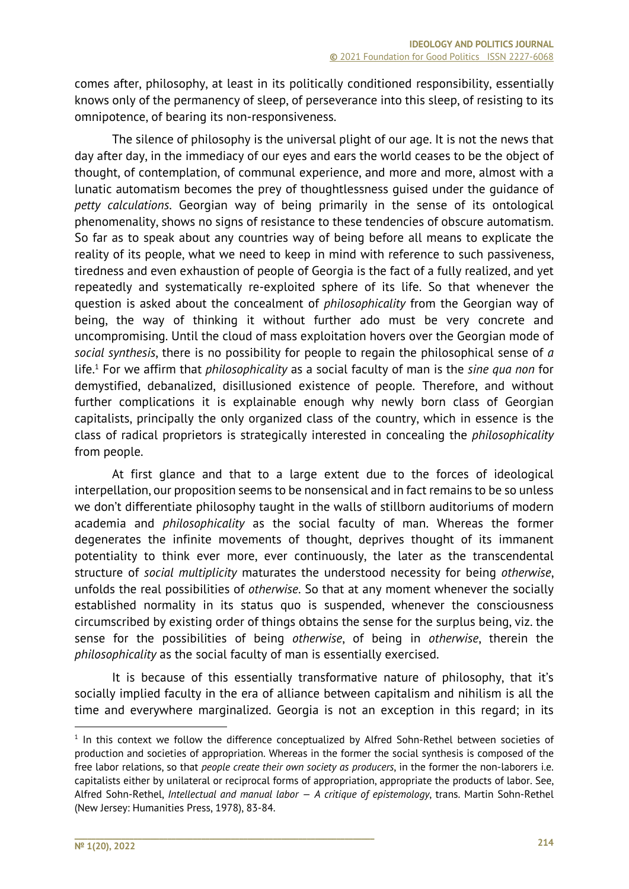comes after, philosophy, at least in its politically conditioned responsibility, essentially knows only of the permanency of sleep, of perseverance into this sleep, of resisting to its omnipotence, of bearing its non-responsiveness.

The silence of philosophy is the universal plight of our age. It is not the news that day after day, in the immediacy of our eyes and ears the world ceases to be the object of thought, of contemplation, of communal experience, and more and more, almost with a lunatic automatism becomes the prey of thoughtlessness guised under the guidance of *petty calculations*. Georgian way of being primarily in the sense of its ontological phenomenality, shows no signs of resistance to these tendencies of obscure automatism. So far as to speak about any countries way of being before all means to explicate the reality of its people, what we need to keep in mind with reference to such passiveness, tiredness and even exhaustion of people of Georgia is the fact of a fully realized, and yet repeatedly and systematically re-exploited sphere of its life. So that whenever the question is asked about the concealment of *philosophicality* from the Georgian way of being, the way of thinking it without further ado must be very concrete and uncompromising. Until the cloud of mass exploitation hovers over the Georgian mode of *social synthesis*, there is no possibility for people to regain the philosophical sense of *a* life.1 For we affirm that *philosophicality* as a social faculty of man is the *sine qua non* for demystified, debanalized, disillusioned existence of people. Therefore, and without further complications it is explainable enough why newly born class of Georgian capitalists, principally the only organized class of the country, which in essence is the class of radical proprietors is strategically interested in concealing the *philosophicality* from people.

At first glance and that to a large extent due to the forces of ideological interpellation, our proposition seems to be nonsensical and in fact remains to be so unless we don't differentiate philosophy taught in the walls of stillborn auditoriums of modern academia and *philosophicality* as the social faculty of man. Whereas the former degenerates the infinite movements of thought, deprives thought of its immanent potentiality to think ever more, ever continuously, the later as the transcendental structure of *social multiplicity* maturates the understood necessity for being *otherwise*, unfolds the real possibilities of *otherwise*. So that at any moment whenever the socially established normality in its status quo is suspended, whenever the consciousness circumscribed by existing order of things obtains the sense for the surplus being, viz. the sense for the possibilities of being *otherwise*, of being in *otherwise*, therein the *philosophicality* as the social faculty of man is essentially exercised.

It is because of this essentially transformative nature of philosophy, that it's socially implied faculty in the era of alliance between capitalism and nihilism is all the time and everywhere marginalized. Georgia is not an exception in this regard; in its

<sup>&</sup>lt;sup>1</sup> In this context we follow the difference conceptualized by Alfred Sohn-Rethel between societies of production and societies of appropriation. Whereas in the former the social synthesis is composed of the free labor relations, so that *people create their own society as producers*, in the former the non-laborers i.e. capitalists either by unilateral or reciprocal forms of appropriation, appropriate the products of labor. See, Alfred Sohn-Rethel, *Intellectual and manual labor — A critique of epistemology*, trans. Martin Sohn-Rethel (New Jersey: Humanities Press, 1978), 83-84.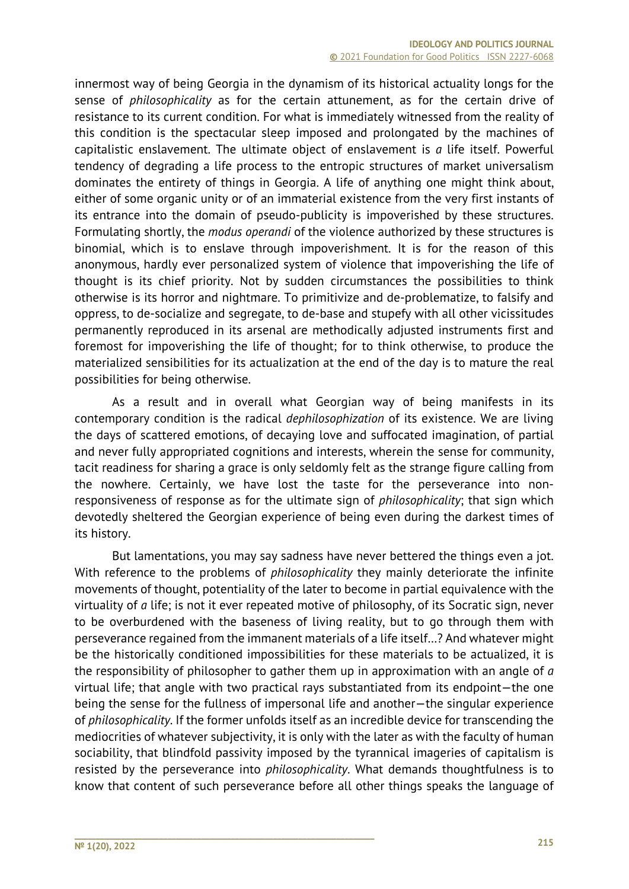innermost way of being Georgia in the dynamism of its historical actuality longs for the sense of *philosophicality* as for the certain attunement, as for the certain drive of resistance to its current condition. For what is immediately witnessed from the reality of this condition is the spectacular sleep imposed and prolongated by the machines of capitalistic enslavement. The ultimate object of enslavement is *a* life itself. Powerful tendency of degrading a life process to the entropic structures of market universalism dominates the entirety of things in Georgia. A life of anything one might think about, either of some organic unity or of an immaterial existence from the very first instants of its entrance into the domain of pseudo-publicity is impoverished by these structures. Formulating shortly, the *modus operandi* of the violence authorized by these structures is binomial, which is to enslave through impoverishment. It is for the reason of this anonymous, hardly ever personalized system of violence that impoverishing the life of thought is its chief priority. Not by sudden circumstances the possibilities to think otherwise is its horror and nightmare. To primitivize and de-problematize, to falsify and oppress, to de-socialize and segregate, to de-base and stupefy with all other vicissitudes permanently reproduced in its arsenal are methodically adjusted instruments first and foremost for impoverishing the life of thought; for to think otherwise, to produce the materialized sensibilities for its actualization at the end of the day is to mature the real possibilities for being otherwise.

As a result and in overall what Georgian way of being manifests in its contemporary condition is the radical *dephilosophization* of its existence. We are living the days of scattered emotions, of decaying love and suffocated imagination, of partial and never fully appropriated cognitions and interests, wherein the sense for community, tacit readiness for sharing a grace is only seldomly felt as the strange figure calling from the nowhere. Certainly, we have lost the taste for the perseverance into nonresponsiveness of response as for the ultimate sign of *philosophicality*; that sign which devotedly sheltered the Georgian experience of being even during the darkest times of its history.

But lamentations, you may say sadness have never bettered the things even a jot. With reference to the problems of *philosophicality* they mainly deteriorate the infinite movements of thought, potentiality of the later to become in partial equivalence with the virtuality of *a* life; is not it ever repeated motive of philosophy, of its Socratic sign, never to be overburdened with the baseness of living reality, but to go through them with perseverance regained from the immanent materials of a life itself…? And whatever might be the historically conditioned impossibilities for these materials to be actualized, it is the responsibility of philosopher to gather them up in approximation with an angle of *a* virtual life; that angle with two practical rays substantiated from its endpoint—the one being the sense for the fullness of impersonal life and another—the singular experience of *philosophicality*. If the former unfolds itself as an incredible device for transcending the mediocrities of whatever subjectivity, it is only with the later as with the faculty of human sociability, that blindfold passivity imposed by the tyrannical imageries of capitalism is resisted by the perseverance into *philosophicality*. What demands thoughtfulness is to know that content of such perseverance before all other things speaks the language of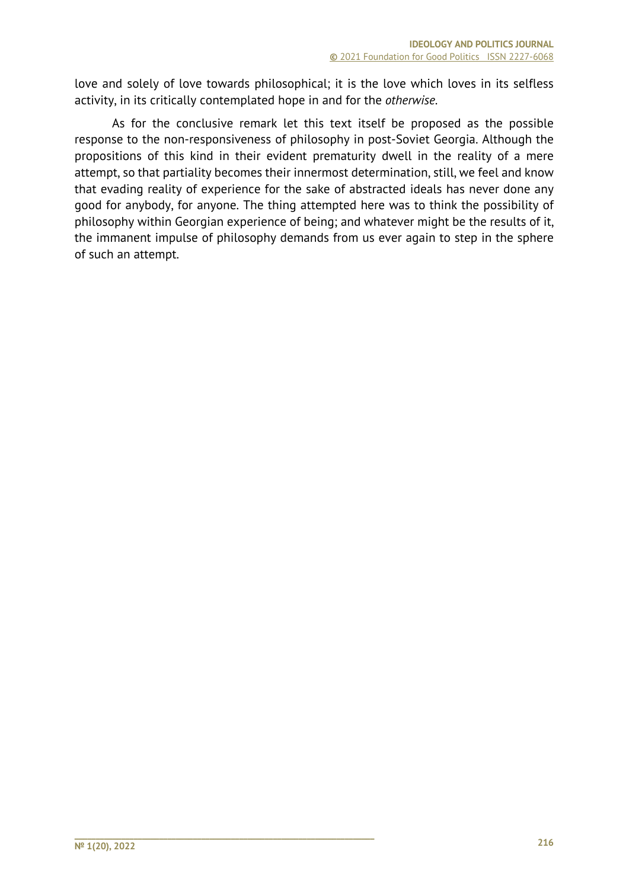love and solely of love towards philosophical; it is the love which loves in its selfless activity, in its critically contemplated hope in and for the *otherwise*.

As for the conclusive remark let this text itself be proposed as the possible response to the non-responsiveness of philosophy in post-Soviet Georgia. Although the propositions of this kind in their evident prematurity dwell in the reality of a mere attempt, so that partiality becomes their innermost determination, still, we feel and know that evading reality of experience for the sake of abstracted ideals has never done any good for anybody, for anyone. The thing attempted here was to think the possibility of philosophy within Georgian experience of being; and whatever might be the results of it, the immanent impulse of philosophy demands from us ever again to step in the sphere of such an attempt.